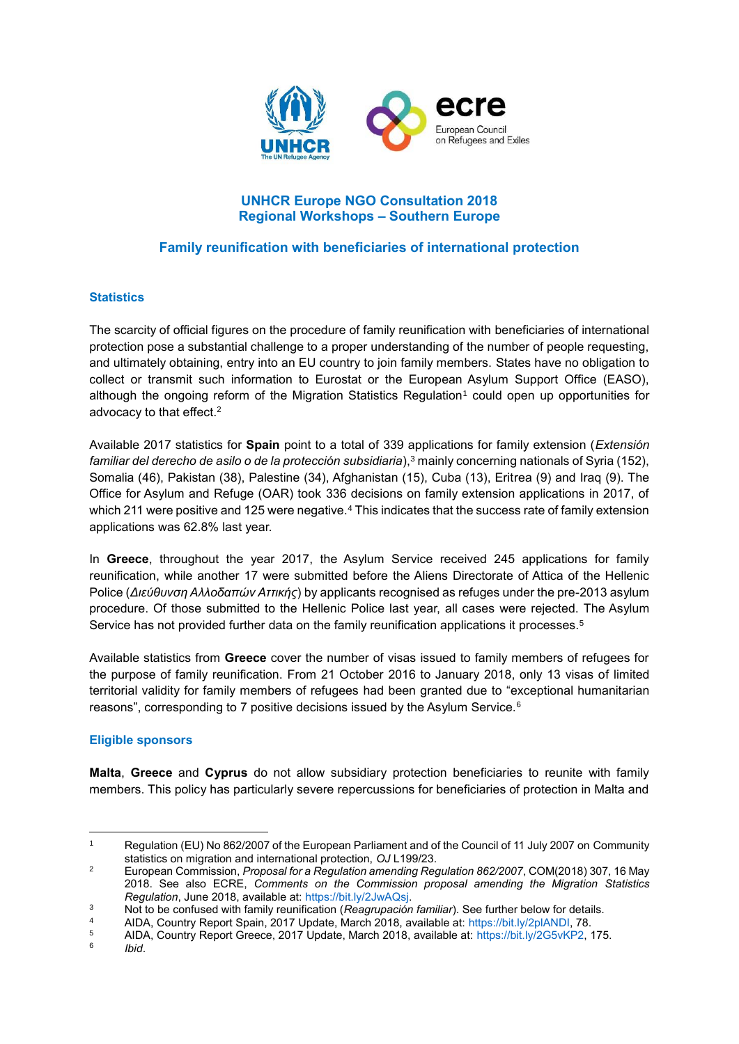

# **UNHCR Europe NGO Consultation 2018 Regional Workshops – Southern Europe**

# **Family reunification with beneficiaries of international protection**

### **Statistics**

The scarcity of official figures on the procedure of family reunification with beneficiaries of international protection pose a substantial challenge to a proper understanding of the number of people requesting, and ultimately obtaining, entry into an EU country to join family members. States have no obligation to collect or transmit such information to Eurostat or the European Asylum Support Office (EASO), although the ongoing reform of the Migration Statistics Regulation<sup>1</sup> could open up opportunities for advocacy to that effect.<sup>2</sup>

Available 2017 statistics for **Spain** point to a total of 339 applications for family extension (*Extensión familiar del derecho de asilo o de la protección subsidiaria*),<sup>3</sup> mainly concerning nationals of Syria (152), Somalia (46), Pakistan (38), Palestine (34), Afghanistan (15), Cuba (13), Eritrea (9) and Iraq (9). The Office for Asylum and Refuge (OAR) took 336 decisions on family extension applications in 2017, of which 211 were positive and 125 were negative.<sup>4</sup> This indicates that the success rate of family extension applications was 62.8% last year.

In **Greece**, throughout the year 2017, the Asylum Service received 245 applications for family reunification, while another 17 were submitted before the Aliens Directorate of Attica of the Hellenic Police (*Διεύθυνση Αλλοδαπών Αττικής*) by applicants recognised as refuges under the pre-2013 asylum procedure. Of those submitted to the Hellenic Police last year, all cases were rejected. The Asylum Service has not provided further data on the family reunification applications it processes.<sup>5</sup>

Available statistics from **Greece** cover the number of visas issued to family members of refugees for the purpose of family reunification. From 21 October 2016 to January 2018, only 13 visas of limited territorial validity for family members of refugees had been granted due to "exceptional humanitarian reasons", corresponding to 7 positive decisions issued by the Asylum Service.<sup>6</sup>

#### **Eligible sponsors**

**Malta**, **Greece** and **Cyprus** do not allow subsidiary protection beneficiaries to reunite with family members. This policy has particularly severe repercussions for beneficiaries of protection in Malta and

4 AIDA, Country Report Spain, 2017 Update, March 2018, available at: [https://bit.ly/2plANDI,](https://bit.ly/2plANDI) 78.<br>5 AIDA, Country Report Greece, 2017 Update, March 2018, available at: https://bit.ly/2G5yKP2

6 *Ibid*.

<u>.</u>

<sup>1</sup> Regulation (EU) No 862/2007 of the European Parliament and of the Council of 11 July 2007 on Community statistics on migration and international protection, *OJ* L199/23.

<sup>2</sup> European Commission, *Proposal for a Regulation amending Regulation 862/2007*, COM(2018) 307, 16 May 2018. See also ECRE, *Comments on the Commission proposal amending the Migration Statistics Regulation*, June 2018, available at: [https://bit.ly/2JwAQsj.](https://bit.ly/2JwAQsj)

<sup>3</sup> Not to be confused with family reunification (*Reagrupación familiar*). See further below for details.

<sup>5</sup> AIDA, Country Report Greece, 2017 Update, March 2018, available at: [https://bit.ly/2G5vKP2,](https://bit.ly/2G5vKP2) 175.